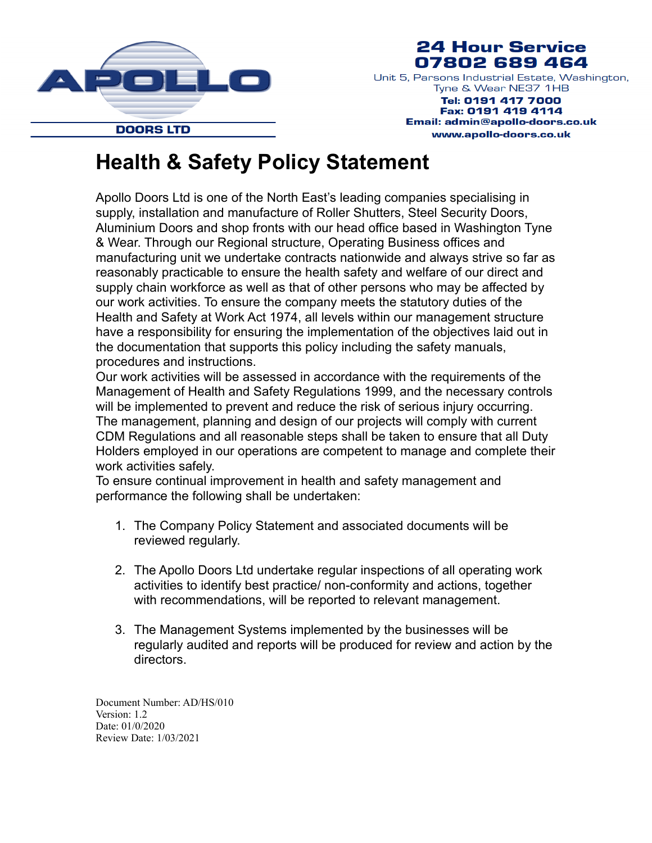

## **24 Hour Service** 07802 689 464

Unit 5, Parsons Industrial Estate, Washington, Tyne & Wear NE37 1HB

Tel: 0191 417 7000 Fax: 0191 419 4114 Email: admin@apollo-doors.co.uk www.apollo-doors.co.uk

## **Health & Safety Policy Statement**

Apollo Doors Ltd is one of the North East's leading companies specialising in supply, installation and manufacture of Roller Shutters, Steel Security Doors, Aluminium Doors and shop fronts with our head office based in Washington Tyne & Wear. Through our Regional structure, Operating Business offices and manufacturing unit we undertake contracts nationwide and always strive so far as reasonably practicable to ensure the health safety and welfare of our direct and supply chain workforce as well as that of other persons who may be affected by our work activities. To ensure the company meets the statutory duties of the Health and Safety at Work Act 1974, all levels within our management structure have a responsibility for ensuring the implementation of the objectives laid out in the documentation that supports this policy including the safety manuals, procedures and instructions.

Our work activities will be assessed in accordance with the requirements of the Management of Health and Safety Regulations 1999, and the necessary controls will be implemented to prevent and reduce the risk of serious injury occurring. The management, planning and design of our projects will comply with current CDM Regulations and all reasonable steps shall be taken to ensure that all Duty Holders employed in our operations are competent to manage and complete their work activities safely.

To ensure continual improvement in health and safety management and performance the following shall be undertaken:

- 1. The Company Policy Statement and associated documents will be reviewed regularly.
- 2. The Apollo Doors Ltd undertake regular inspections of all operating work activities to identify best practice/ non-conformity and actions, together with recommendations, will be reported to relevant management.
- 3. The Management Systems implemented by the businesses will be regularly audited and reports will be produced for review and action by the directors.

Document Number: AD/HS/010 Version: 1.2 Date: 01/0/2020 Review Date: 1/03/2021